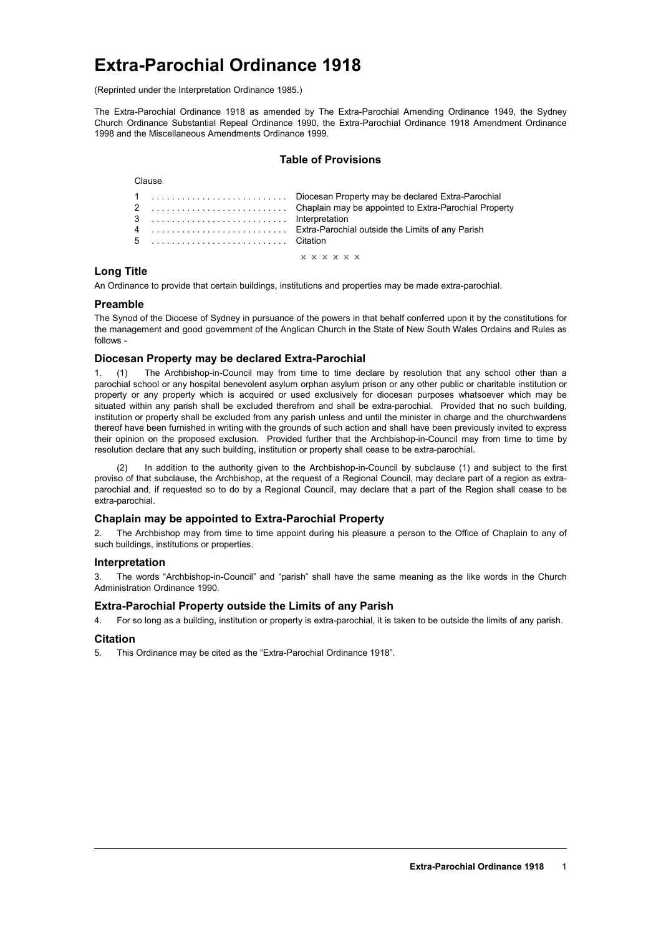# **Extra-Parochial Ordinance 1918**

(Reprinted under the Interpretation Ordinance 1985.)

The Extra-Parochial Ordinance 1918 as amended by The Extra-Parochial Amending Ordinance 1949, the Sydney Church Ordinance Substantial Repeal Ordinance 1990, the Extra-Parochial Ordinance 1918 Amendment Ordinance 1998 and the Miscellaneous Amendments Ordinance 1999.

# **Table of Provisions**

#### Clause

| 3  Interpretation |                    |
|-------------------|--------------------|
|                   |                    |
|                   |                    |
|                   | <b>x x x x x x</b> |

## **Long Title**

An Ordinance to provide that certain buildings, institutions and properties may be made extra-parochial.

#### **Preamble**

The Synod of the Diocese of Sydney in pursuance of the powers in that behalf conferred upon it by the constitutions for the management and good government of the Anglican Church in the State of New South Wales Ordains and Rules as follows -

## **Diocesan Property may be declared Extra-Parochial**

1. (1) The Archbishop-in-Council may from time to time declare by resolution that any school other than a parochial school or any hospital benevolent asylum orphan asylum prison or any other public or charitable institution or property or any property which is acquired or used exclusively for diocesan purposes whatsoever which may be situated within any parish shall be excluded therefrom and shall be extra-parochial. Provided that no such building, institution or property shall be excluded from any parish unless and until the minister in charge and the churchwardens thereof have been furnished in writing with the grounds of such action and shall have been previously invited to express their opinion on the proposed exclusion. Provided further that the Archbishop-in-Council may from time to time by resolution declare that any such building, institution or property shall cease to be extra-parochial.

In addition to the authority given to the Archbishop-in-Council by subclause (1) and subject to the first proviso of that subclause, the Archbishop, at the request of a Regional Council, may declare part of a region as extraparochial and, if requested so to do by a Regional Council, may declare that a part of the Region shall cease to be extra-parochial.

## **Chaplain may be appointed to Extra-Parochial Property**

2. The Archbishop may from time to time appoint during his pleasure a person to the Office of Chaplain to any of such buildings, institutions or properties.

#### **Interpretation**

3. The words "Archbishop-in-Council" and "parish" shall have the same meaning as the like words in the Church Administration Ordinance 1990.

#### **Extra-Parochial Property outside the Limits of any Parish**

4. For so long as a building, institution or property is extra-parochial, it is taken to be outside the limits of any parish.

## **Citation**

5. This Ordinance may be cited as the "Extra-Parochial Ordinance 1918".